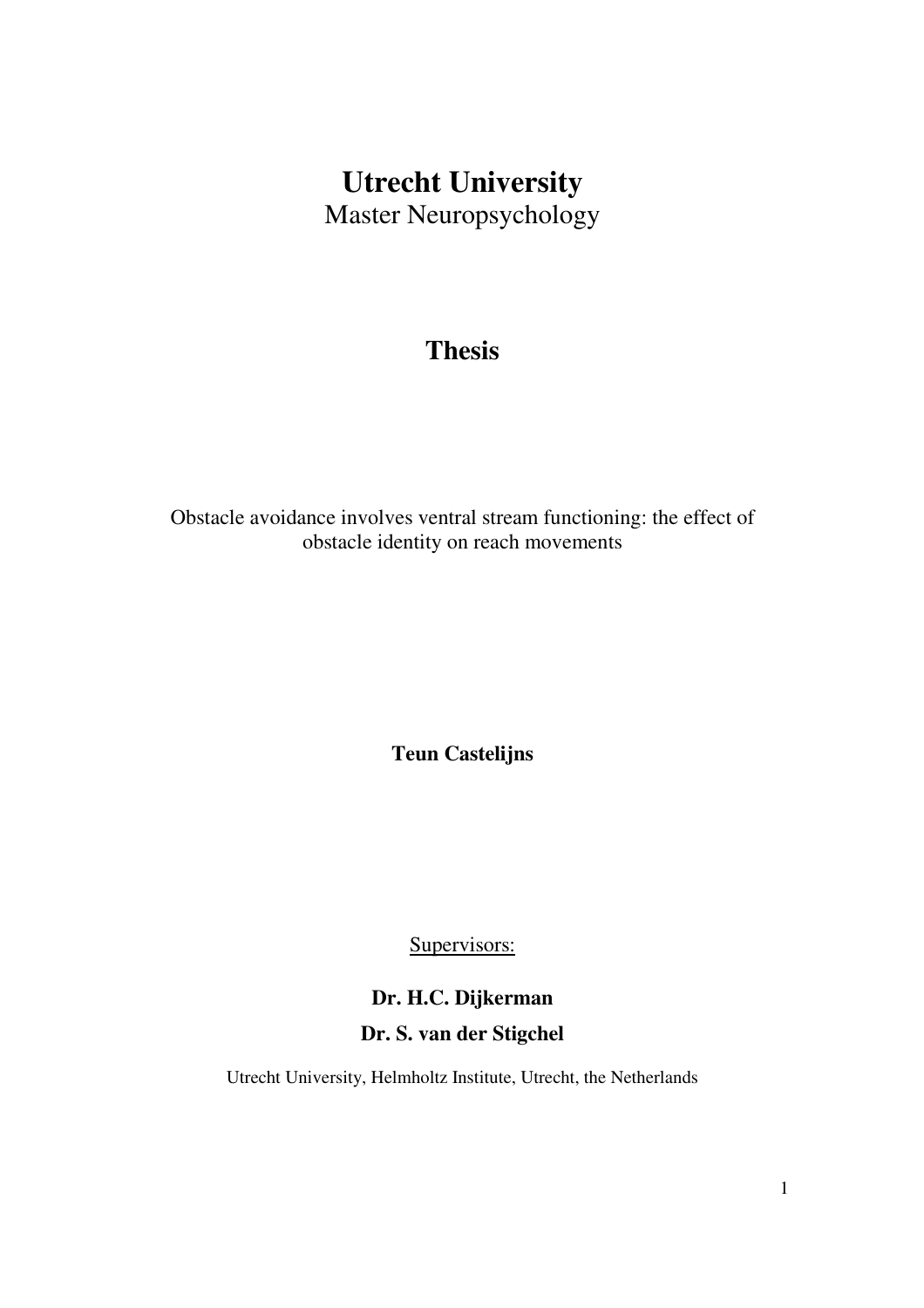# **Utrecht University**  Master Neuropsychology

## **Thesis**

Obstacle avoidance involves ventral stream functioning: the effect of obstacle identity on reach movements

**Teun Castelijns** 

Supervisors:

## **Dr. H.C. Dijkerman Dr. S. van der Stigchel**

Utrecht University, Helmholtz Institute, Utrecht, the Netherlands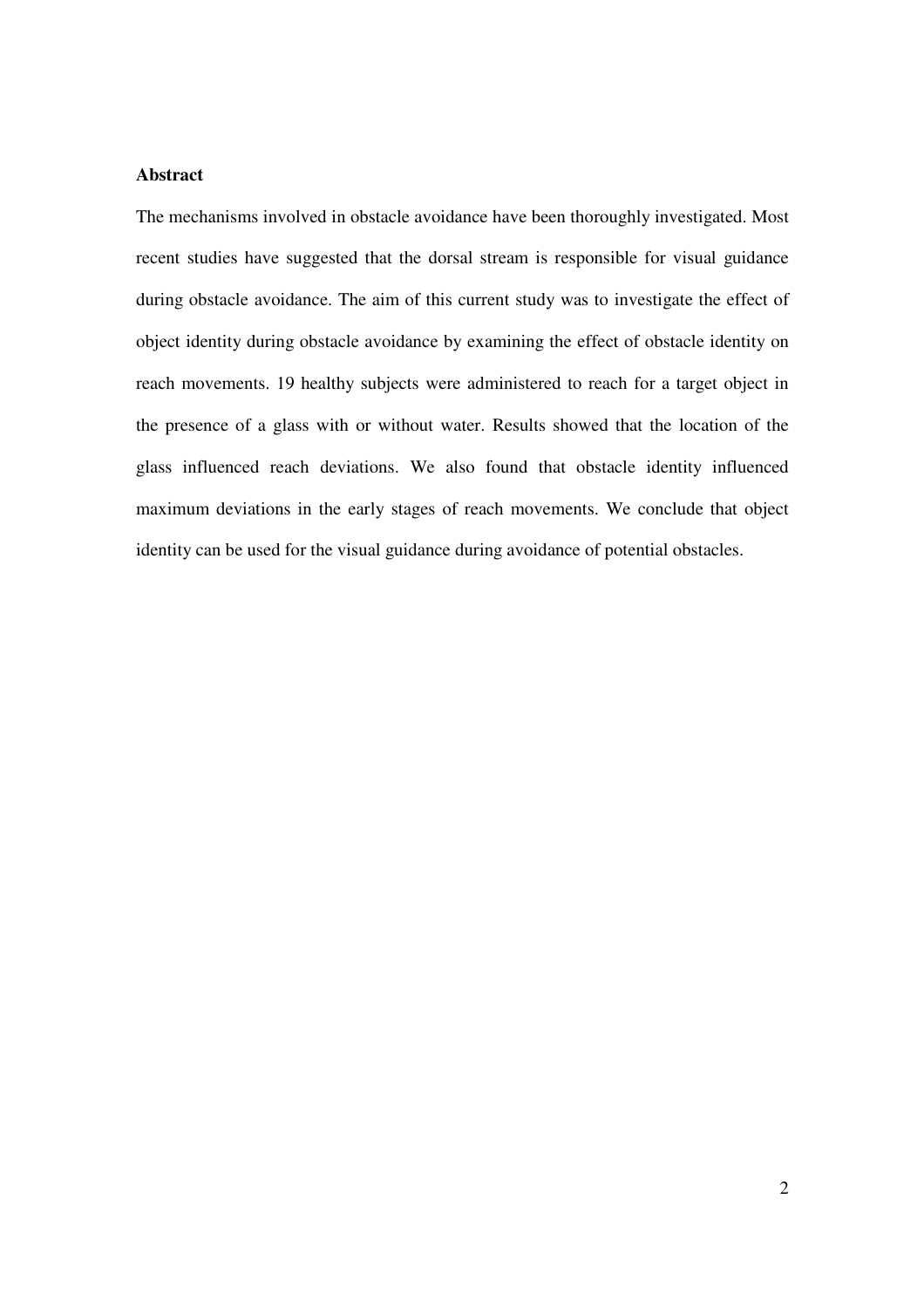## **Abstract**

The mechanisms involved in obstacle avoidance have been thoroughly investigated. Most recent studies have suggested that the dorsal stream is responsible for visual guidance during obstacle avoidance. The aim of this current study was to investigate the effect of object identity during obstacle avoidance by examining the effect of obstacle identity on reach movements. 19 healthy subjects were administered to reach for a target object in the presence of a glass with or without water. Results showed that the location of the glass influenced reach deviations. We also found that obstacle identity influenced maximum deviations in the early stages of reach movements. We conclude that object identity can be used for the visual guidance during avoidance of potential obstacles.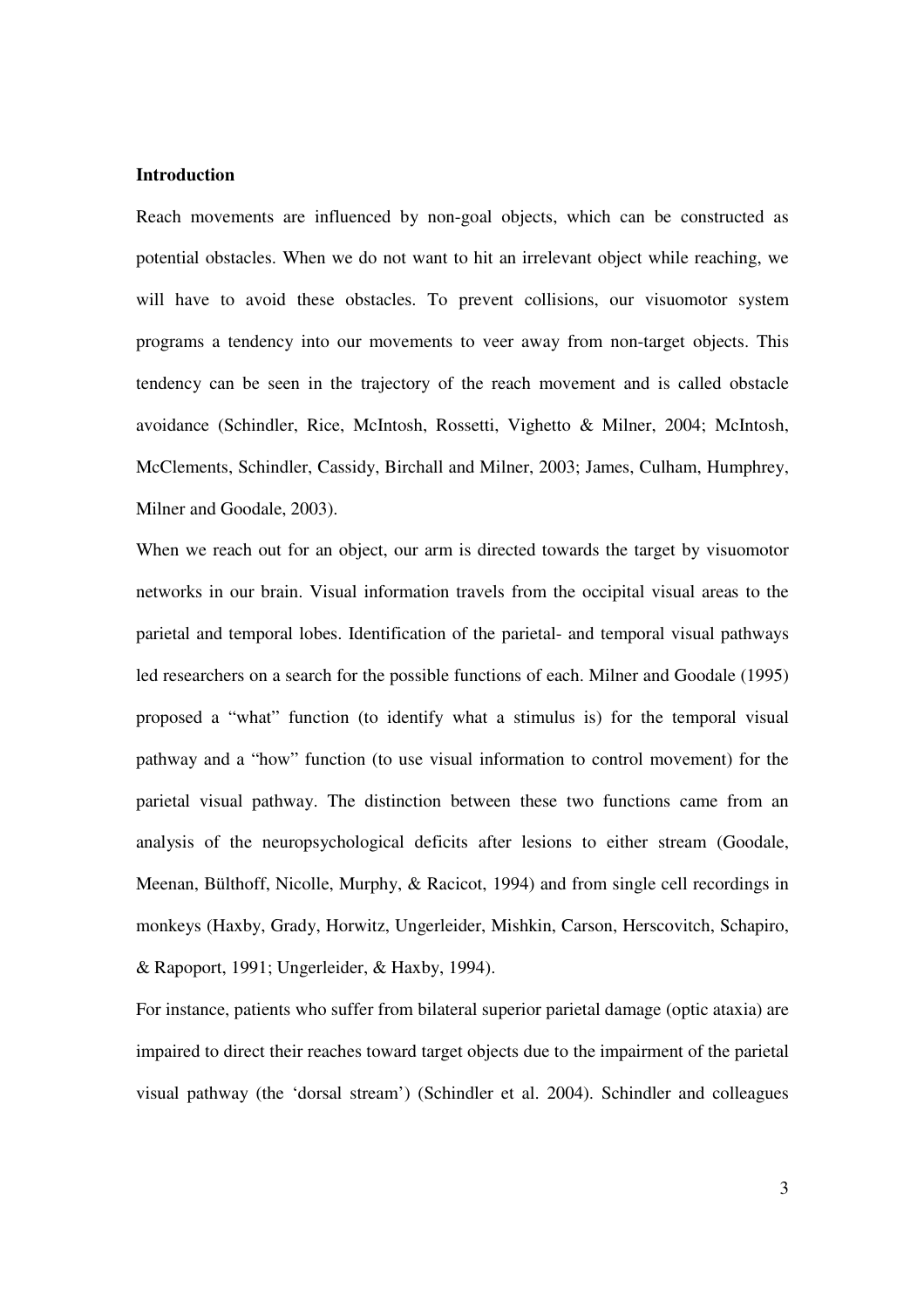## **Introduction**

Reach movements are influenced by non-goal objects, which can be constructed as potential obstacles. When we do not want to hit an irrelevant object while reaching, we will have to avoid these obstacles. To prevent collisions, our visuomotor system programs a tendency into our movements to veer away from non-target objects. This tendency can be seen in the trajectory of the reach movement and is called obstacle avoidance (Schindler, Rice, McIntosh, Rossetti, Vighetto & Milner, 2004; McIntosh, McClements, Schindler, Cassidy, Birchall and Milner, 2003; James, Culham, Humphrey, Milner and Goodale, 2003).

When we reach out for an object, our arm is directed towards the target by visuomotor networks in our brain. Visual information travels from the occipital visual areas to the parietal and temporal lobes. Identification of the parietal- and temporal visual pathways led researchers on a search for the possible functions of each. Milner and Goodale (1995) proposed a "what" function (to identify what a stimulus is) for the temporal visual pathway and a "how" function (to use visual information to control movement) for the parietal visual pathway. The distinction between these two functions came from an analysis of the neuropsychological deficits after lesions to either stream (Goodale, Meenan, Bülthoff, Nicolle, Murphy, & Racicot, 1994) and from single cell recordings in monkeys (Haxby, Grady, Horwitz, Ungerleider, Mishkin, Carson, Herscovitch, Schapiro, & Rapoport, 1991; Ungerleider, & Haxby, 1994).

For instance, patients who suffer from bilateral superior parietal damage (optic ataxia) are impaired to direct their reaches toward target objects due to the impairment of the parietal visual pathway (the 'dorsal stream') (Schindler et al. 2004). Schindler and colleagues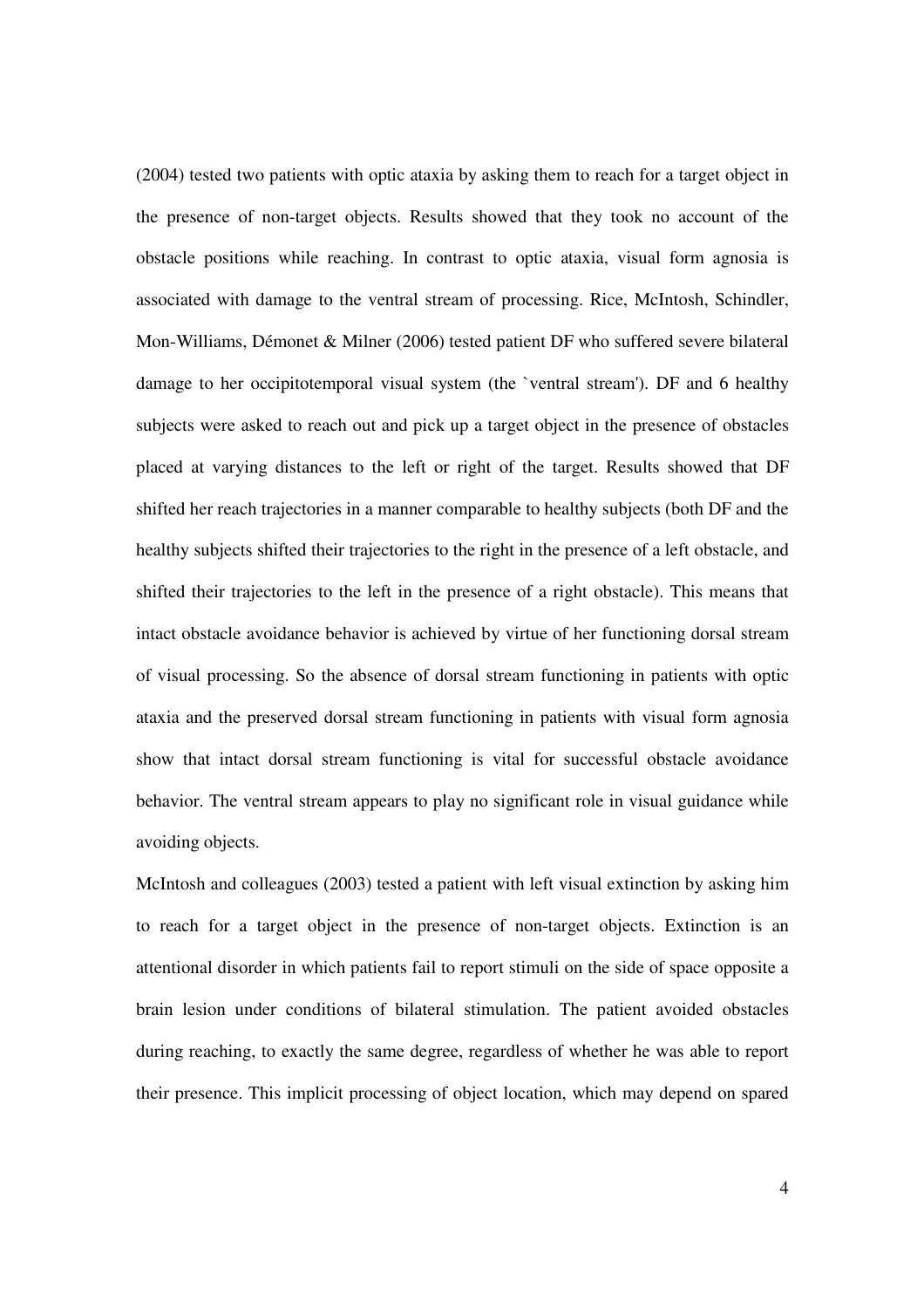(2004) tested two patients with optic ataxia by asking them to reach for a target object in the presence of non-target objects. Results showed that they took no account of the obstacle positions while reaching. In contrast to optic ataxia, visual form agnosia is associated with damage to the ventral stream of processing. Rice, McIntosh, Schindler, Mon-Williams, Démonet & Milner (2006) tested patient DF who suffered severe bilateral damage to her occipitotemporal visual system (the `ventral stream'). DF and 6 healthy subjects were asked to reach out and pick up a target object in the presence of obstacles placed at varying distances to the left or right of the target. Results showed that DF shifted her reach trajectories in a manner comparable to healthy subjects (both DF and the healthy subjects shifted their trajectories to the right in the presence of a left obstacle, and shifted their trajectories to the left in the presence of a right obstacle). This means that intact obstacle avoidance behavior is achieved by virtue of her functioning dorsal stream of visual processing. So the absence of dorsal stream functioning in patients with optic ataxia and the preserved dorsal stream functioning in patients with visual form agnosia show that intact dorsal stream functioning is vital for successful obstacle avoidance behavior. The ventral stream appears to play no significant role in visual guidance while avoiding objects.

McIntosh and colleagues (2003) tested a patient with left visual extinction by asking him to reach for a target object in the presence of non-target objects. Extinction is an attentional disorder in which patients fail to report stimuli on the side of space opposite a brain lesion under conditions of bilateral stimulation. The patient avoided obstacles during reaching, to exactly the same degree, regardless of whether he was able to report their presence. This implicit processing of object location, which may depend on spared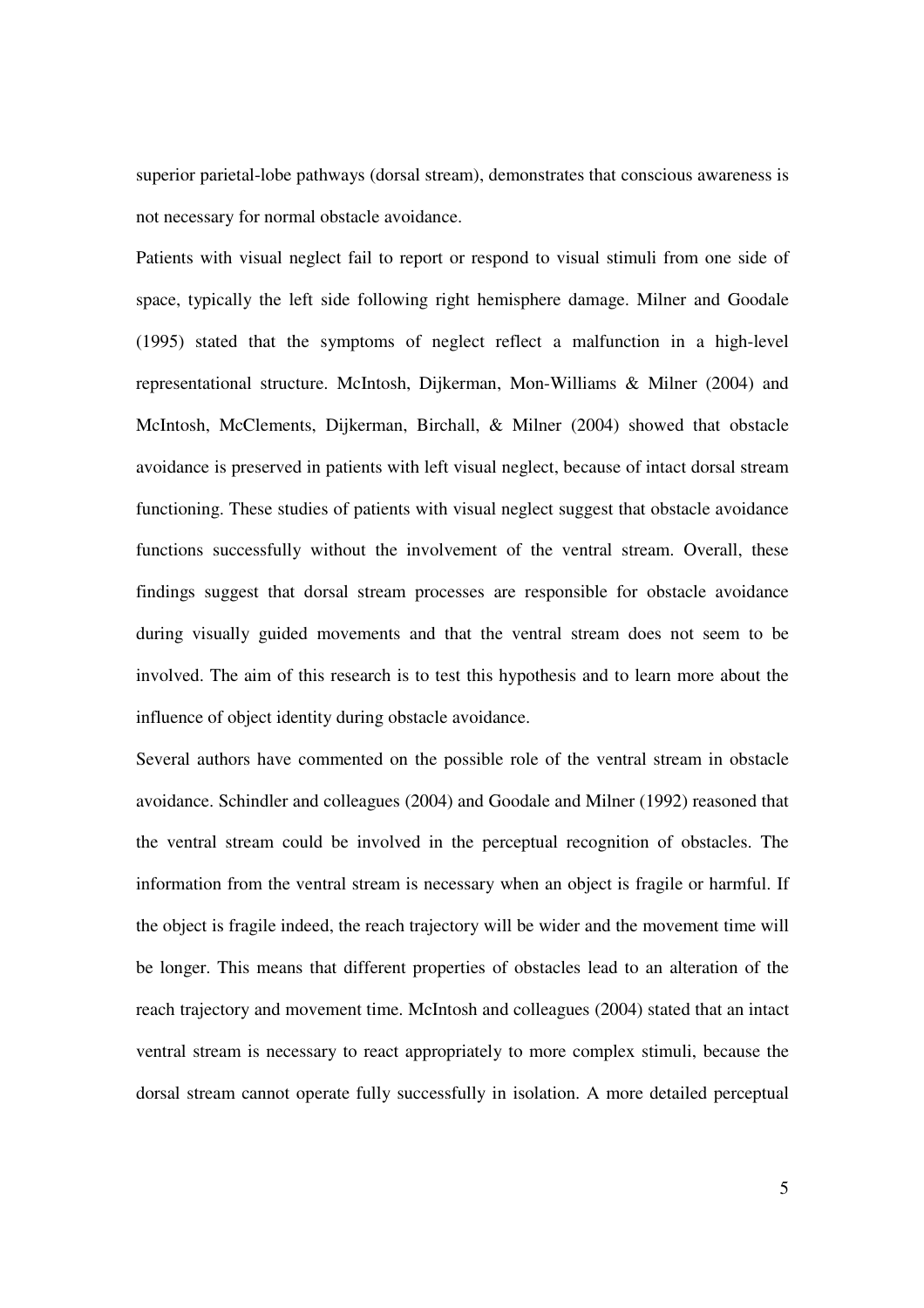superior parietal-lobe pathways (dorsal stream), demonstrates that conscious awareness is not necessary for normal obstacle avoidance.

Patients with visual neglect fail to report or respond to visual stimuli from one side of space, typically the left side following right hemisphere damage. Milner and Goodale (1995) stated that the symptoms of neglect reflect a malfunction in a high-level representational structure. McIntosh, Dijkerman, Mon-Williams & Milner (2004) and McIntosh, McClements, Dijkerman, Birchall, & Milner (2004) showed that obstacle avoidance is preserved in patients with left visual neglect, because of intact dorsal stream functioning. These studies of patients with visual neglect suggest that obstacle avoidance functions successfully without the involvement of the ventral stream. Overall, these findings suggest that dorsal stream processes are responsible for obstacle avoidance during visually guided movements and that the ventral stream does not seem to be involved. The aim of this research is to test this hypothesis and to learn more about the influence of object identity during obstacle avoidance.

Several authors have commented on the possible role of the ventral stream in obstacle avoidance. Schindler and colleagues (2004) and Goodale and Milner (1992) reasoned that the ventral stream could be involved in the perceptual recognition of obstacles. The information from the ventral stream is necessary when an object is fragile or harmful. If the object is fragile indeed, the reach trajectory will be wider and the movement time will be longer. This means that different properties of obstacles lead to an alteration of the reach trajectory and movement time. McIntosh and colleagues (2004) stated that an intact ventral stream is necessary to react appropriately to more complex stimuli, because the dorsal stream cannot operate fully successfully in isolation. A more detailed perceptual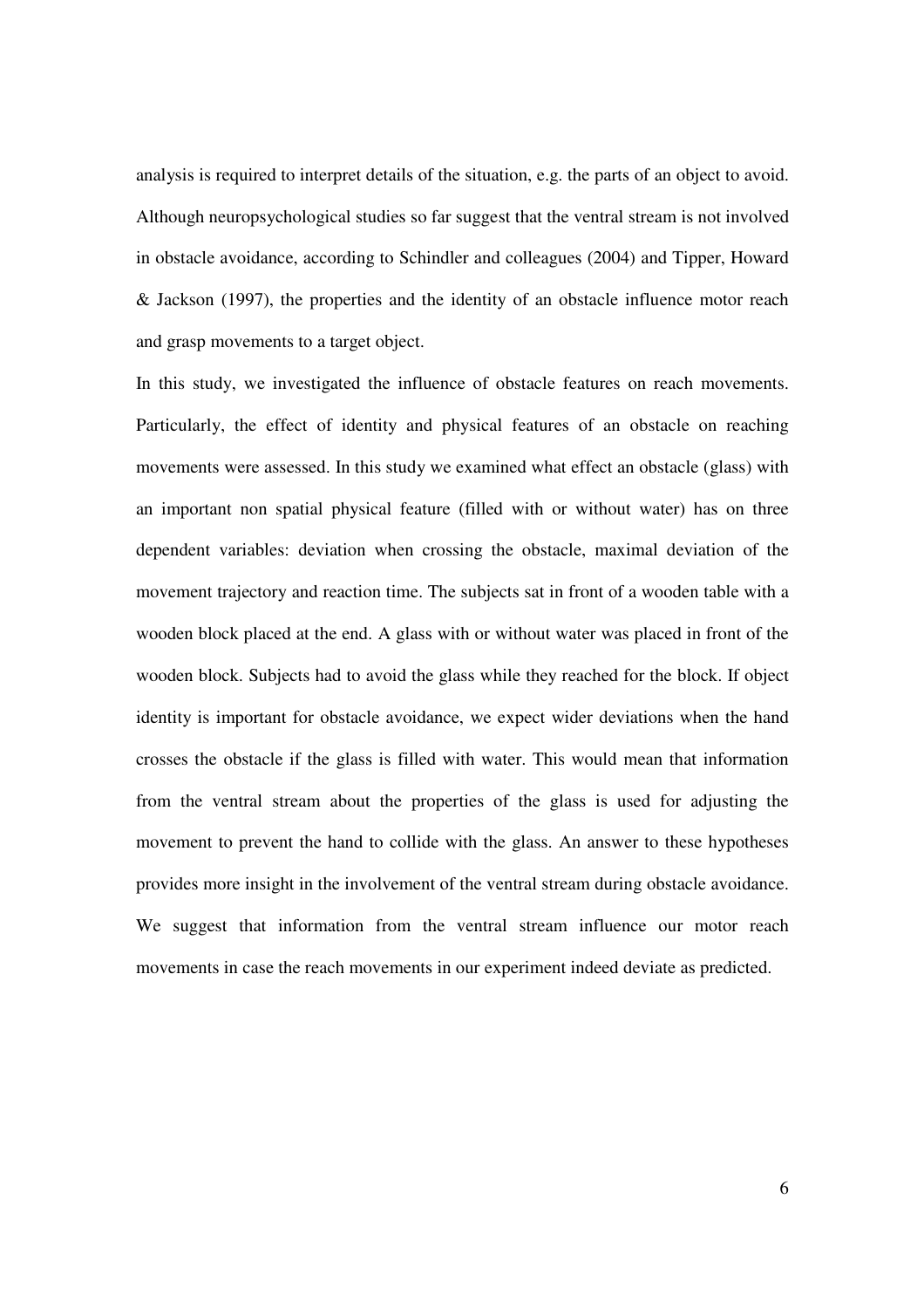analysis is required to interpret details of the situation, e.g. the parts of an object to avoid. Although neuropsychological studies so far suggest that the ventral stream is not involved in obstacle avoidance, according to Schindler and colleagues (2004) and Tipper, Howard & Jackson (1997), the properties and the identity of an obstacle influence motor reach and grasp movements to a target object.

In this study, we investigated the influence of obstacle features on reach movements. Particularly, the effect of identity and physical features of an obstacle on reaching movements were assessed. In this study we examined what effect an obstacle (glass) with an important non spatial physical feature (filled with or without water) has on three dependent variables: deviation when crossing the obstacle, maximal deviation of the movement trajectory and reaction time. The subjects sat in front of a wooden table with a wooden block placed at the end. A glass with or without water was placed in front of the wooden block. Subjects had to avoid the glass while they reached for the block. If object identity is important for obstacle avoidance, we expect wider deviations when the hand crosses the obstacle if the glass is filled with water. This would mean that information from the ventral stream about the properties of the glass is used for adjusting the movement to prevent the hand to collide with the glass. An answer to these hypotheses provides more insight in the involvement of the ventral stream during obstacle avoidance. We suggest that information from the ventral stream influence our motor reach movements in case the reach movements in our experiment indeed deviate as predicted.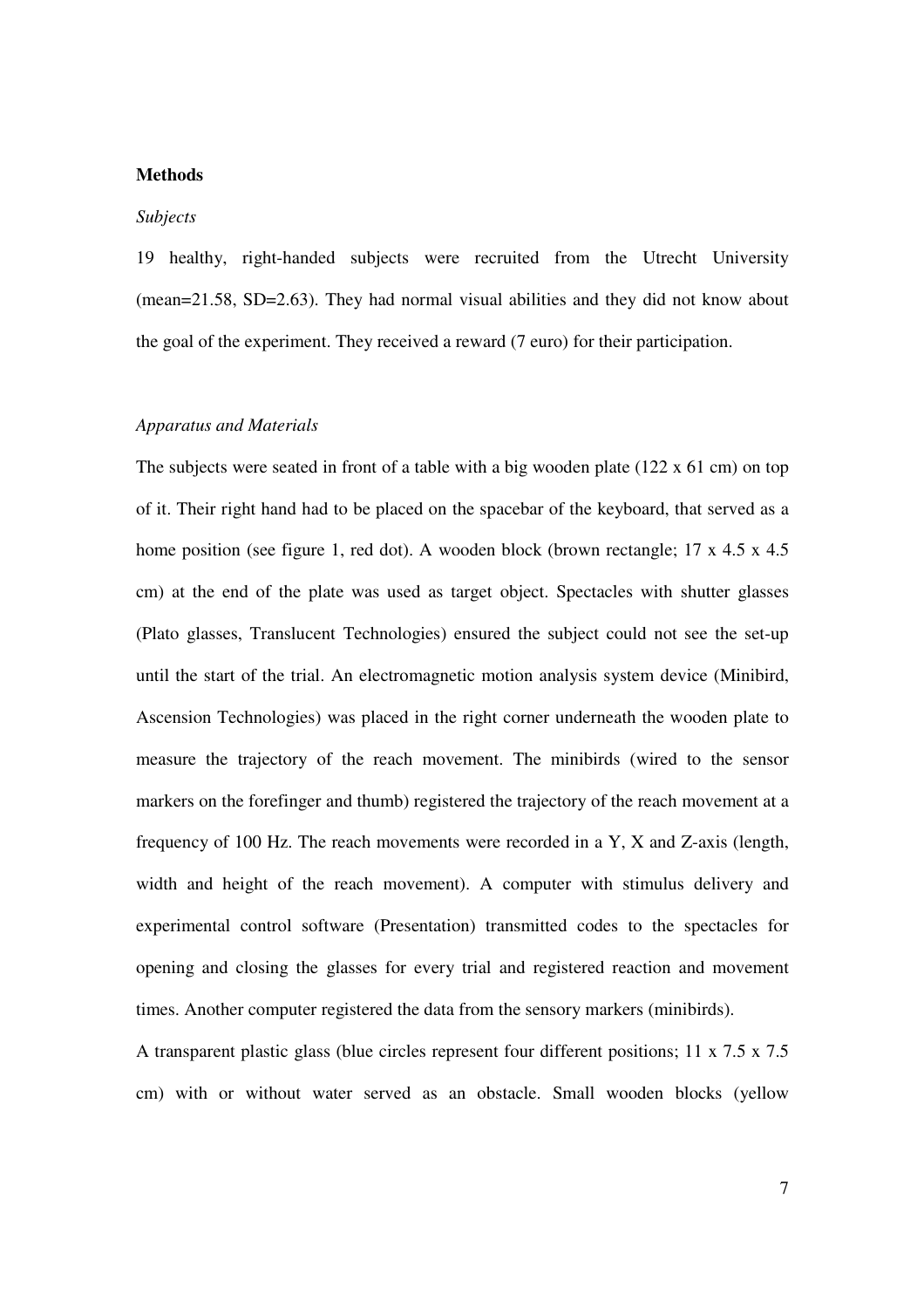## **Methods**

#### *Subjects*

19 healthy, right-handed subjects were recruited from the Utrecht University (mean=21.58, SD=2.63). They had normal visual abilities and they did not know about the goal of the experiment. They received a reward (7 euro) for their participation.

## *Apparatus and Materials*

The subjects were seated in front of a table with a big wooden plate (122 x 61 cm) on top of it. Their right hand had to be placed on the spacebar of the keyboard, that served as a home position (see figure 1, red dot). A wooden block (brown rectangle; 17 x 4.5 x 4.5 cm) at the end of the plate was used as target object. Spectacles with shutter glasses (Plato glasses, Translucent Technologies) ensured the subject could not see the set-up until the start of the trial. An electromagnetic motion analysis system device (Minibird, Ascension Technologies) was placed in the right corner underneath the wooden plate to measure the trajectory of the reach movement. The minibirds (wired to the sensor markers on the forefinger and thumb) registered the trajectory of the reach movement at a frequency of 100 Hz. The reach movements were recorded in a Y, X and Z-axis (length, width and height of the reach movement). A computer with stimulus delivery and experimental control software (Presentation) transmitted codes to the spectacles for opening and closing the glasses for every trial and registered reaction and movement times. Another computer registered the data from the sensory markers (minibirds).

A transparent plastic glass (blue circles represent four different positions; 11 x 7.5 x 7.5 cm) with or without water served as an obstacle. Small wooden blocks (yellow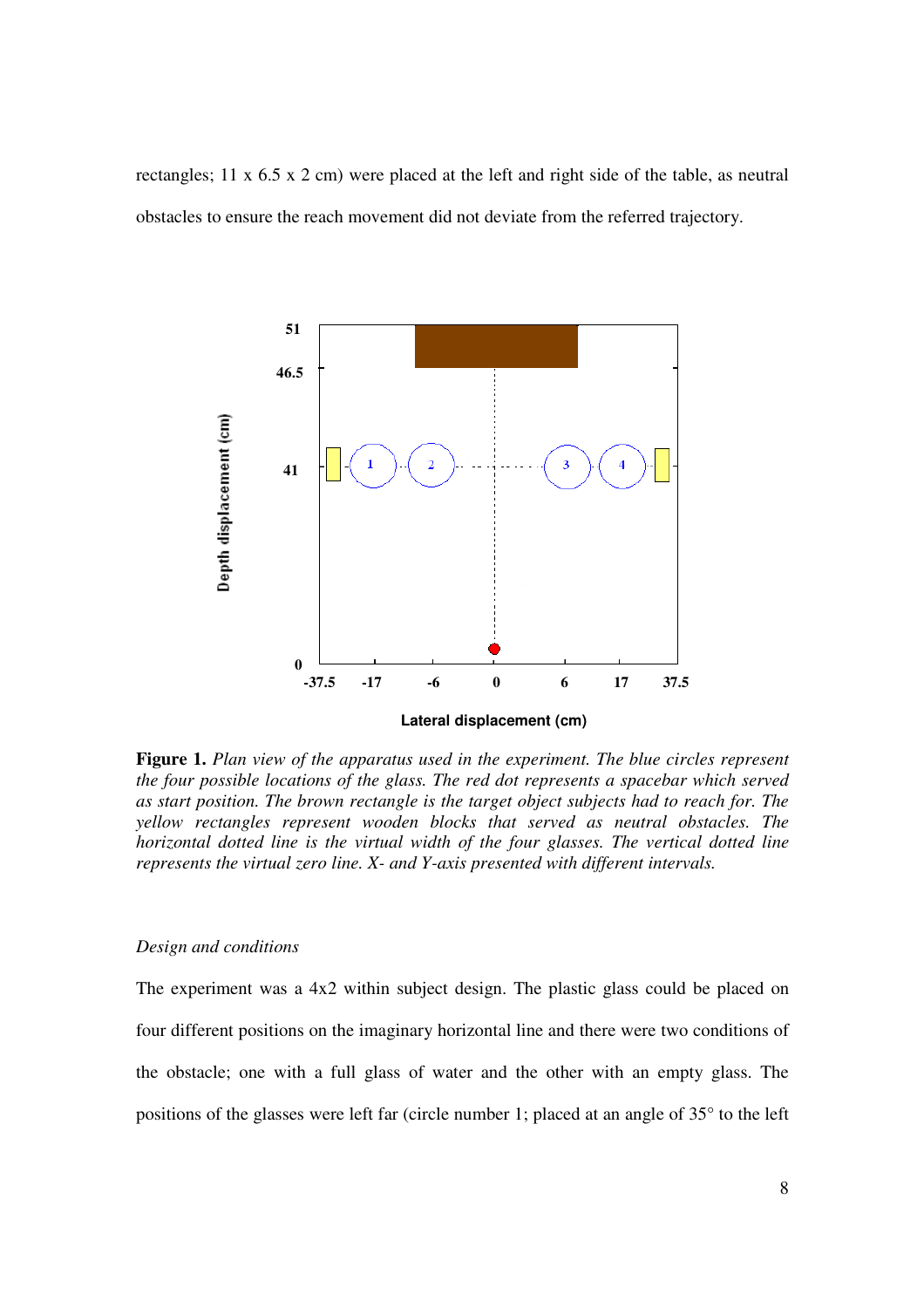rectangles; 11 x 6.5 x 2 cm) were placed at the left and right side of the table, as neutral obstacles to ensure the reach movement did not deviate from the referred trajectory.



**Figure 1.** *Plan view of the apparatus used in the experiment. The blue circles represent the four possible locations of the glass. The red dot represents a spacebar which served as start position. The brown rectangle is the target object subjects had to reach for. The yellow rectangles represent wooden blocks that served as neutral obstacles. The horizontal dotted line is the virtual width of the four glasses. The vertical dotted line represents the virtual zero line. X- and Y-axis presented with different intervals.*

## *Design and conditions*

The experiment was a 4x2 within subject design. The plastic glass could be placed on four different positions on the imaginary horizontal line and there were two conditions of the obstacle; one with a full glass of water and the other with an empty glass. The positions of the glasses were left far (circle number 1; placed at an angle of 35° to the left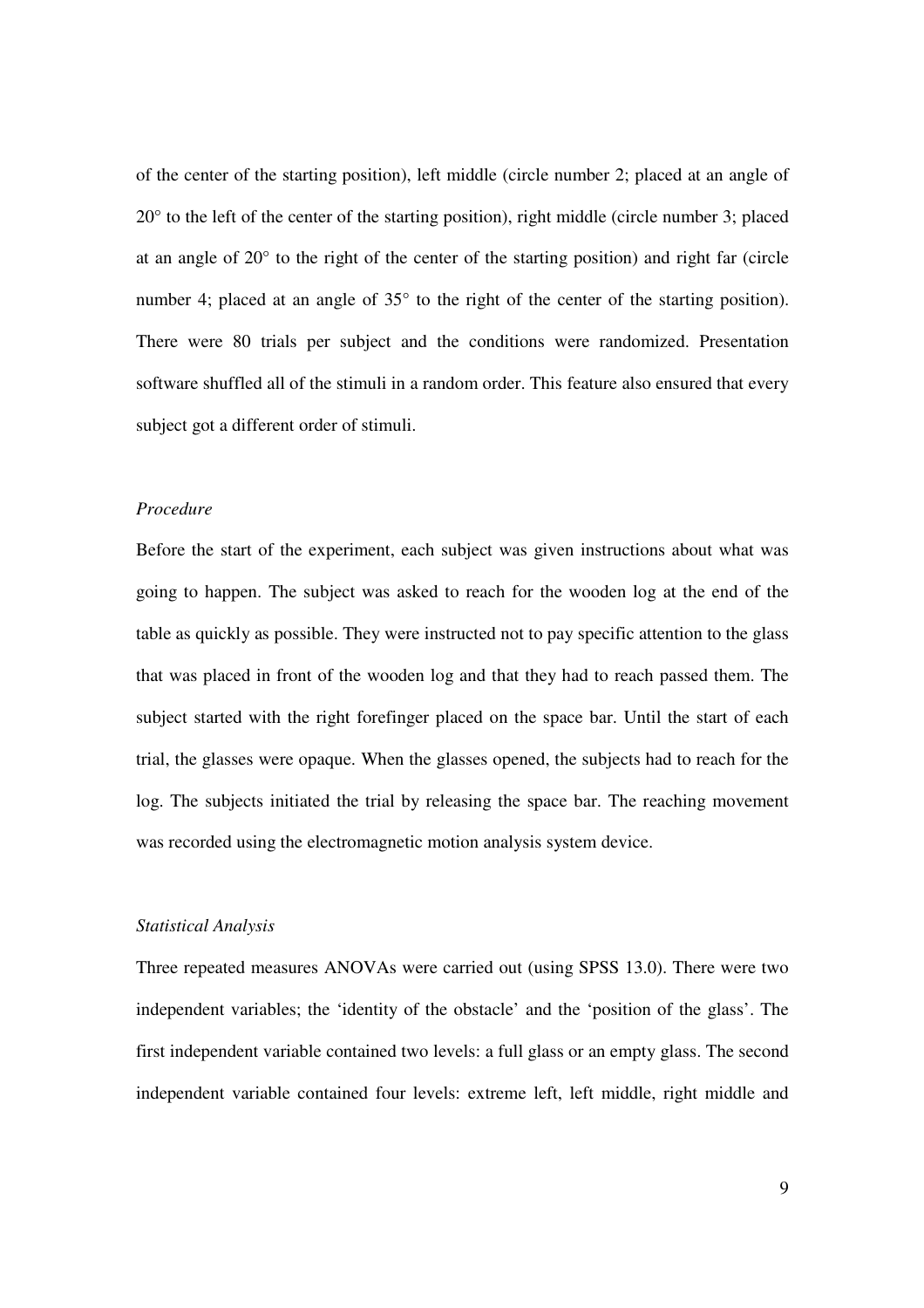of the center of the starting position), left middle (circle number 2; placed at an angle of 20° to the left of the center of the starting position), right middle (circle number 3; placed at an angle of 20° to the right of the center of the starting position) and right far (circle number 4; placed at an angle of 35° to the right of the center of the starting position). There were 80 trials per subject and the conditions were randomized. Presentation software shuffled all of the stimuli in a random order. This feature also ensured that every subject got a different order of stimuli.

#### *Procedure*

Before the start of the experiment, each subject was given instructions about what was going to happen. The subject was asked to reach for the wooden log at the end of the table as quickly as possible. They were instructed not to pay specific attention to the glass that was placed in front of the wooden log and that they had to reach passed them. The subject started with the right forefinger placed on the space bar. Until the start of each trial, the glasses were opaque. When the glasses opened, the subjects had to reach for the log. The subjects initiated the trial by releasing the space bar. The reaching movement was recorded using the electromagnetic motion analysis system device.

#### *Statistical Analysis*

Three repeated measures ANOVAs were carried out (using SPSS 13.0). There were two independent variables; the 'identity of the obstacle' and the 'position of the glass'. The first independent variable contained two levels: a full glass or an empty glass. The second independent variable contained four levels: extreme left, left middle, right middle and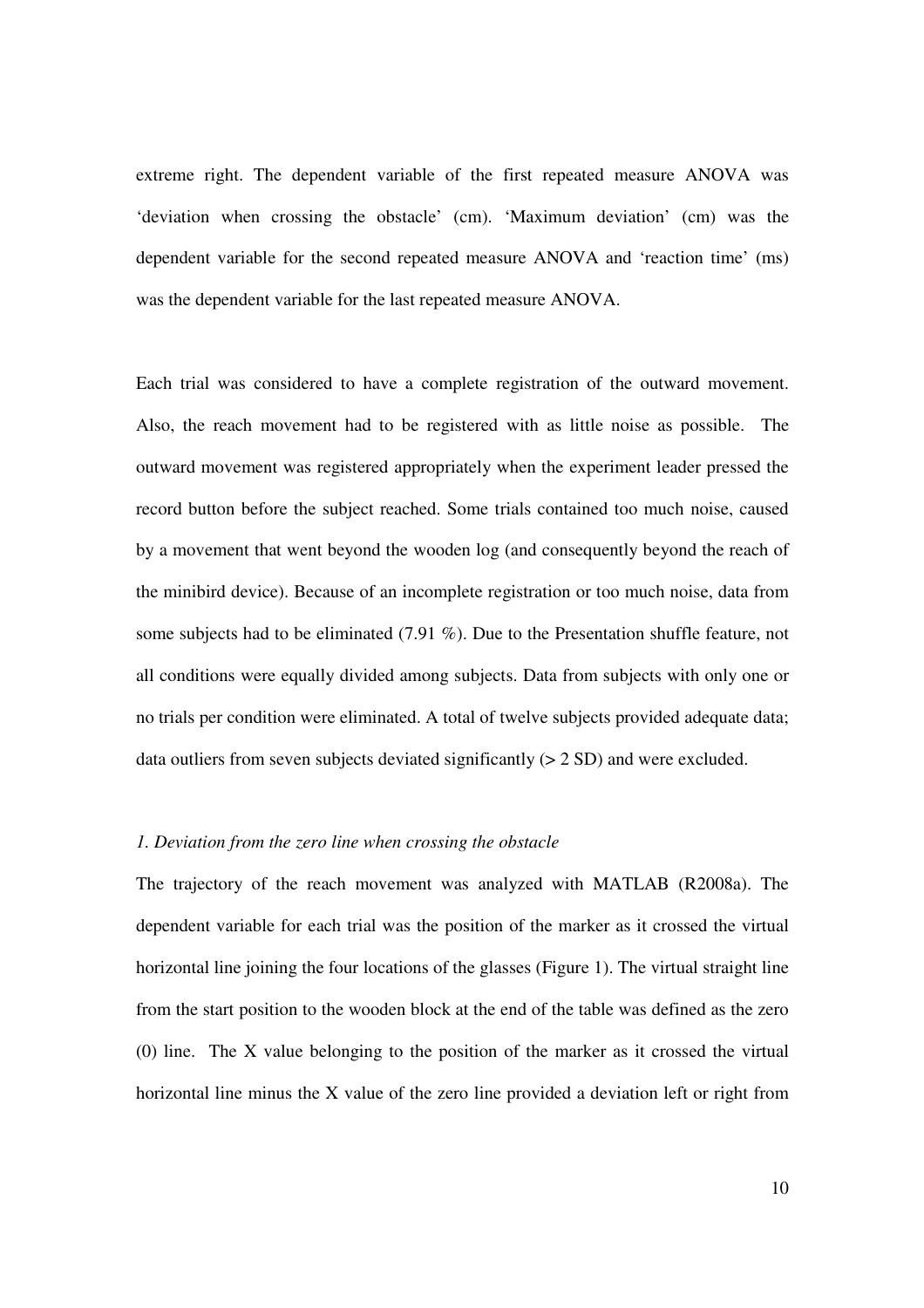extreme right. The dependent variable of the first repeated measure ANOVA was 'deviation when crossing the obstacle' (cm). 'Maximum deviation' (cm) was the dependent variable for the second repeated measure ANOVA and 'reaction time' (ms) was the dependent variable for the last repeated measure ANOVA.

Each trial was considered to have a complete registration of the outward movement. Also, the reach movement had to be registered with as little noise as possible. The outward movement was registered appropriately when the experiment leader pressed the record button before the subject reached. Some trials contained too much noise, caused by a movement that went beyond the wooden log (and consequently beyond the reach of the minibird device). Because of an incomplete registration or too much noise, data from some subjects had to be eliminated (7.91 %). Due to the Presentation shuffle feature, not all conditions were equally divided among subjects. Data from subjects with only one or no trials per condition were eliminated. A total of twelve subjects provided adequate data; data outliers from seven subjects deviated significantly  $(> 2 SD)$  and were excluded.

#### *1. Deviation from the zero line when crossing the obstacle*

The trajectory of the reach movement was analyzed with MATLAB (R2008a). The dependent variable for each trial was the position of the marker as it crossed the virtual horizontal line joining the four locations of the glasses (Figure 1). The virtual straight line from the start position to the wooden block at the end of the table was defined as the zero (0) line. The X value belonging to the position of the marker as it crossed the virtual horizontal line minus the X value of the zero line provided a deviation left or right from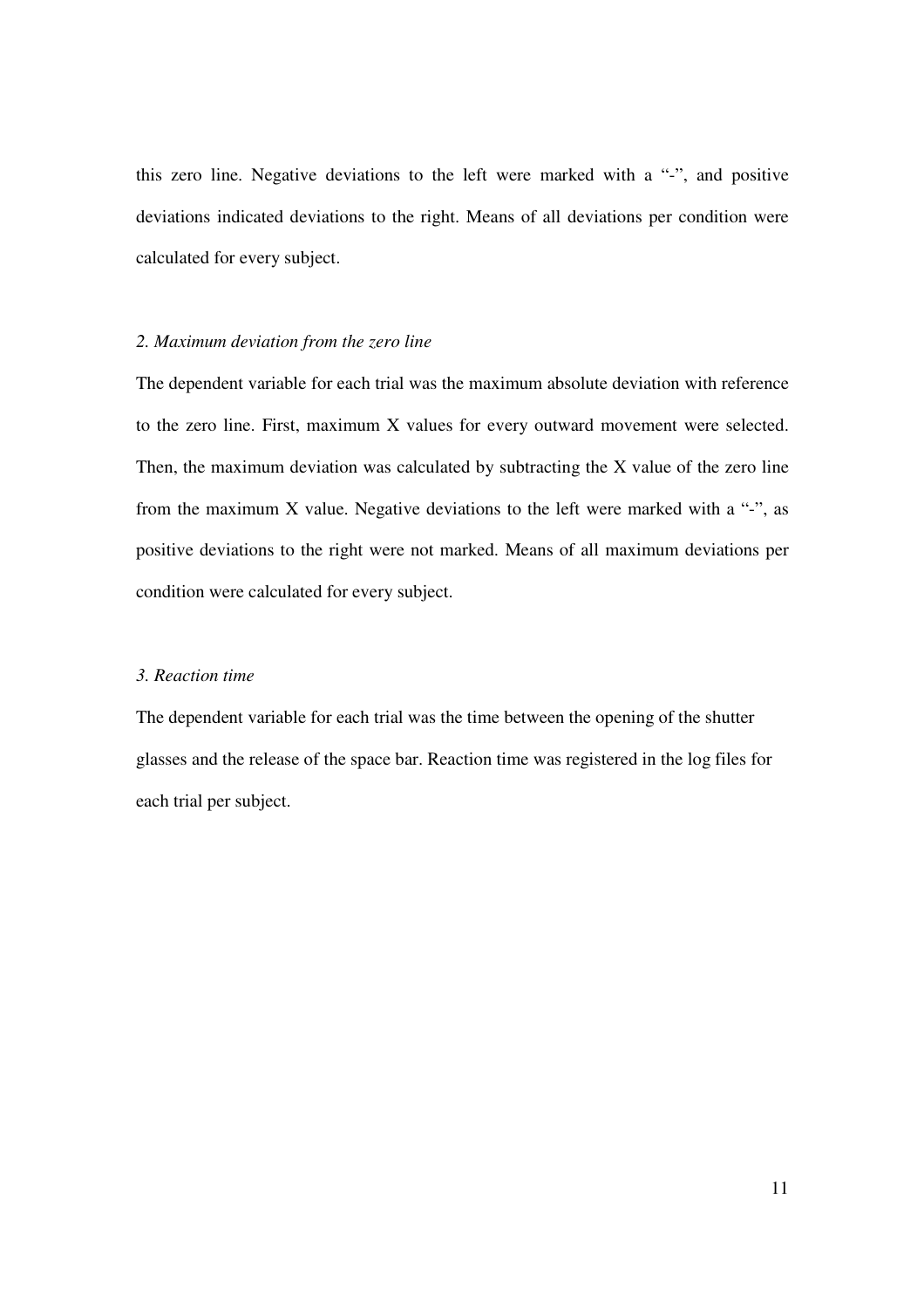this zero line. Negative deviations to the left were marked with a "-", and positive deviations indicated deviations to the right. Means of all deviations per condition were calculated for every subject.

## *2. Maximum deviation from the zero line*

The dependent variable for each trial was the maximum absolute deviation with reference to the zero line. First, maximum X values for every outward movement were selected. Then, the maximum deviation was calculated by subtracting the X value of the zero line from the maximum X value. Negative deviations to the left were marked with a "-", as positive deviations to the right were not marked. Means of all maximum deviations per condition were calculated for every subject.

#### *3. Reaction time*

The dependent variable for each trial was the time between the opening of the shutter glasses and the release of the space bar. Reaction time was registered in the log files for each trial per subject.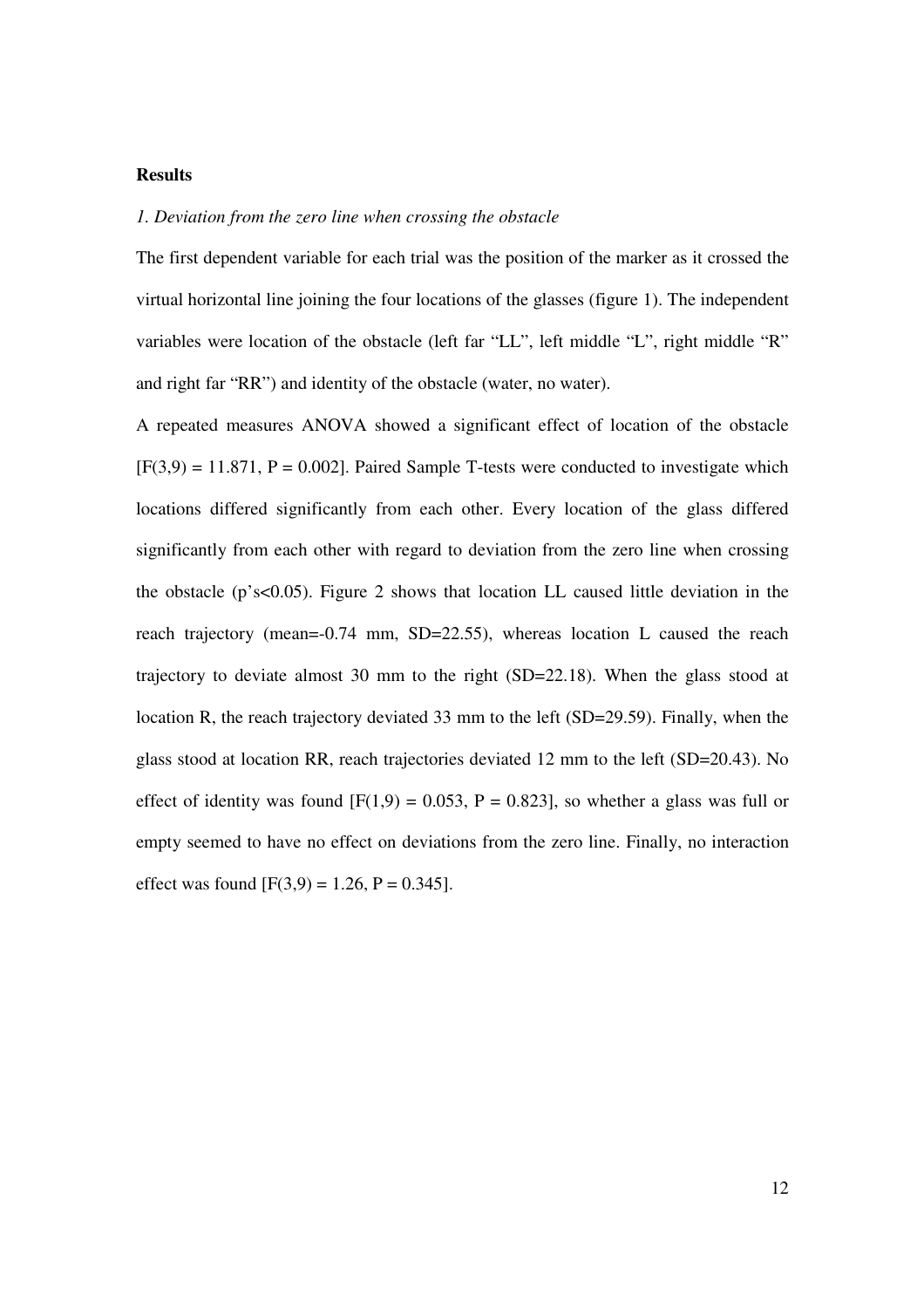## **Results**

## *1. Deviation from the zero line when crossing the obstacle*

The first dependent variable for each trial was the position of the marker as it crossed the virtual horizontal line joining the four locations of the glasses (figure 1). The independent variables were location of the obstacle (left far "LL", left middle "L", right middle "R" and right far "RR") and identity of the obstacle (water, no water).

A repeated measures ANOVA showed a significant effect of location of the obstacle  $[F(3,9) = 11.871, P = 0.002]$ . Paired Sample T-tests were conducted to investigate which locations differed significantly from each other. Every location of the glass differed significantly from each other with regard to deviation from the zero line when crossing the obstacle (p's<0.05). Figure 2 shows that location LL caused little deviation in the reach trajectory (mean=-0.74 mm, SD=22.55), whereas location L caused the reach trajectory to deviate almost 30 mm to the right (SD=22.18). When the glass stood at location R, the reach trajectory deviated 33 mm to the left (SD=29.59). Finally, when the glass stood at location RR, reach trajectories deviated 12 mm to the left (SD=20.43). No effect of identity was found  $[F(1,9) = 0.053, P = 0.823]$ , so whether a glass was full or empty seemed to have no effect on deviations from the zero line. Finally, no interaction effect was found  $[F(3,9) = 1.26, P = 0.345]$ .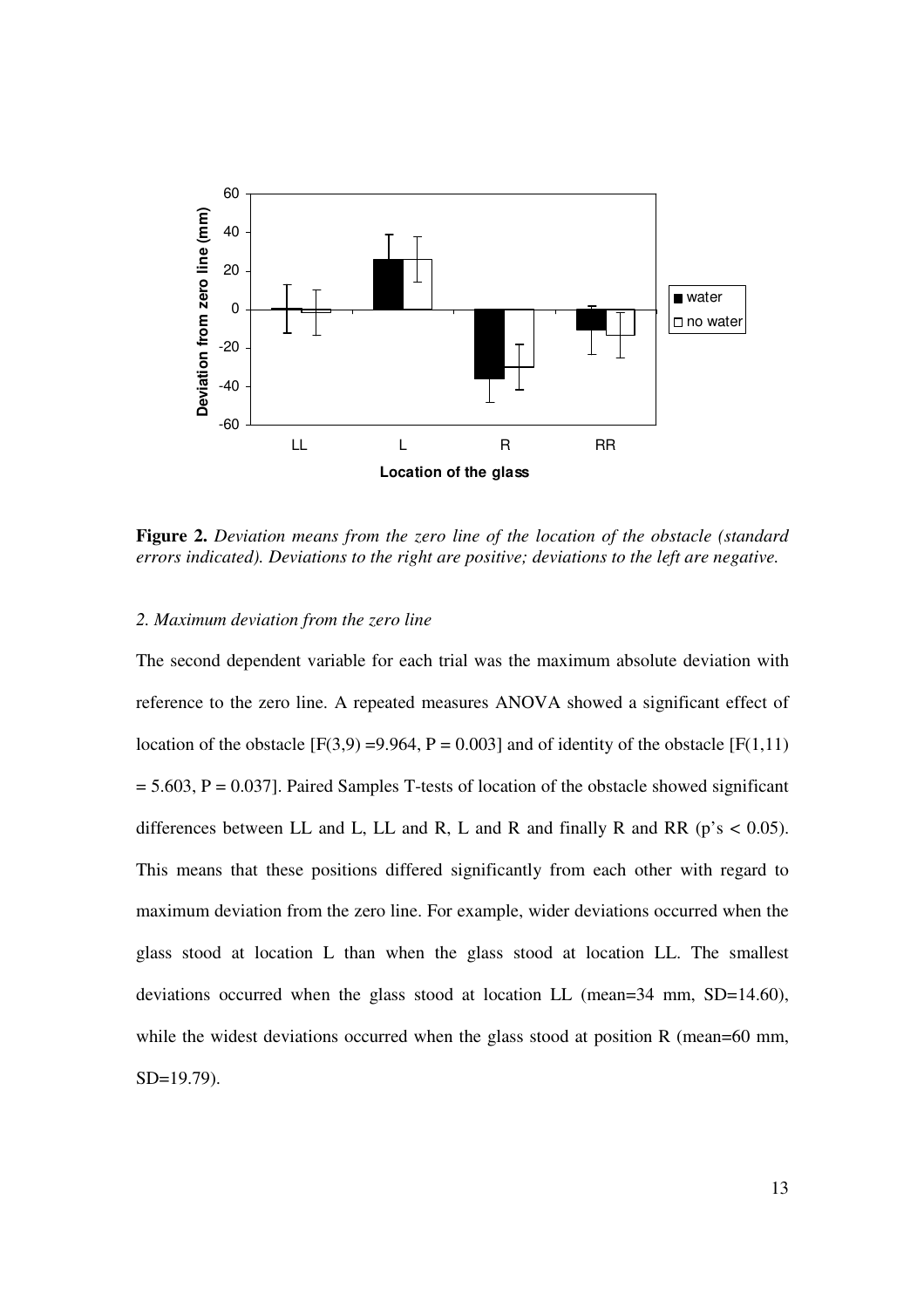

**Figure 2.** *Deviation means from the zero line of the location of the obstacle (standard errors indicated). Deviations to the right are positive; deviations to the left are negative.* 

### *2. Maximum deviation from the zero line*

The second dependent variable for each trial was the maximum absolute deviation with reference to the zero line. A repeated measures ANOVA showed a significant effect of location of the obstacle  $[F(3,9) = 9.964, P = 0.003]$  and of identity of the obstacle  $[F(1,11)$  $= 5.603$ ,  $P = 0.037$ ]. Paired Samples T-tests of location of the obstacle showed significant differences between LL and L, LL and R, L and R and finally R and RR ( $p$ 's < 0.05). This means that these positions differed significantly from each other with regard to maximum deviation from the zero line. For example, wider deviations occurred when the glass stood at location L than when the glass stood at location LL. The smallest deviations occurred when the glass stood at location LL (mean=34 mm, SD=14.60), while the widest deviations occurred when the glass stood at position R (mean=60 mm, SD=19.79).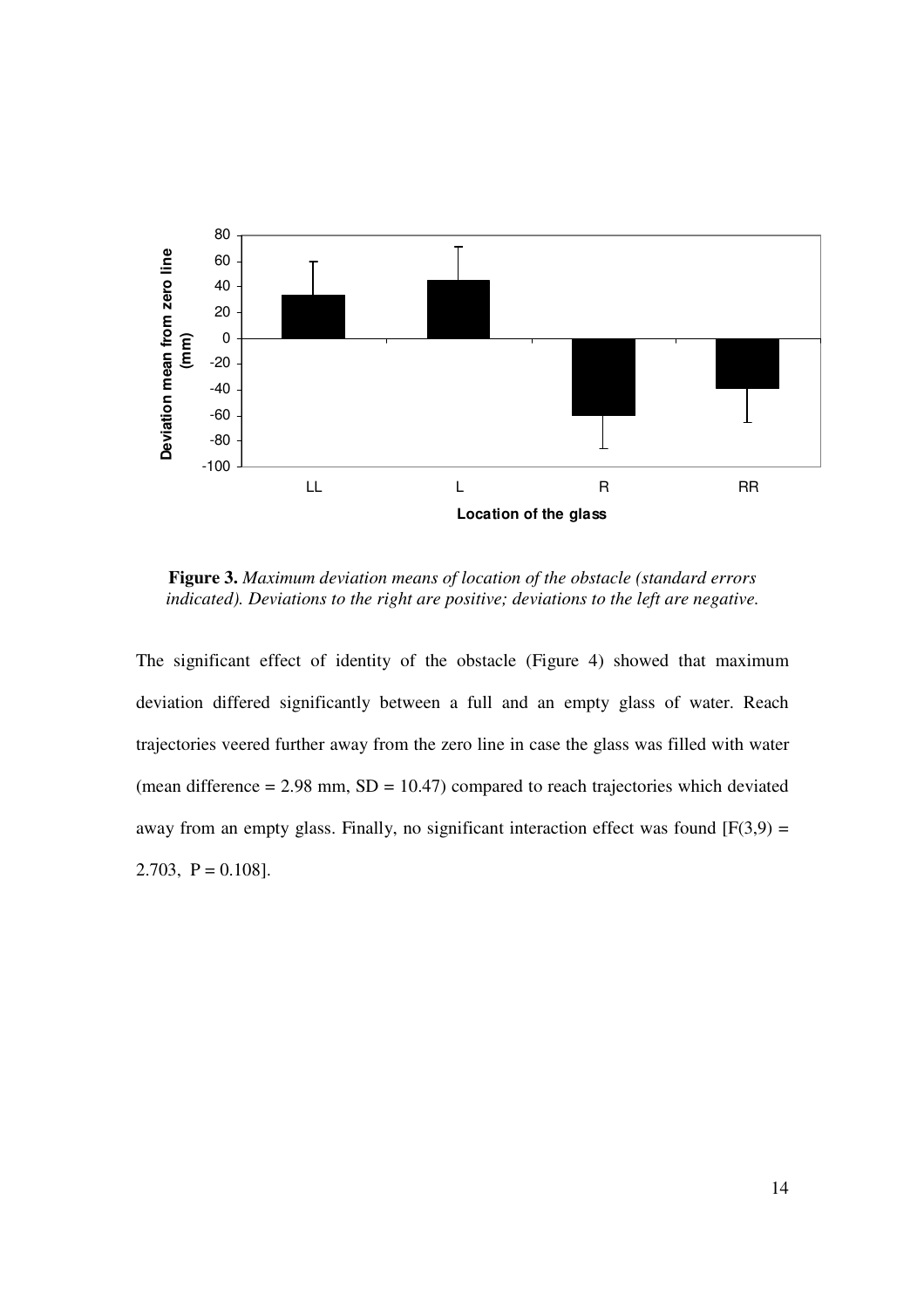

**Figure 3.** *Maximum deviation means of location of the obstacle (standard errors indicated). Deviations to the right are positive; deviations to the left are negative.*

The significant effect of identity of the obstacle (Figure 4) showed that maximum deviation differed significantly between a full and an empty glass of water. Reach trajectories veered further away from the zero line in case the glass was filled with water (mean difference  $= 2.98$  mm,  $SD = 10.47$ ) compared to reach trajectories which deviated away from an empty glass. Finally, no significant interaction effect was found  $[F(3,9) =$ 2.703,  $P = 0.108$ .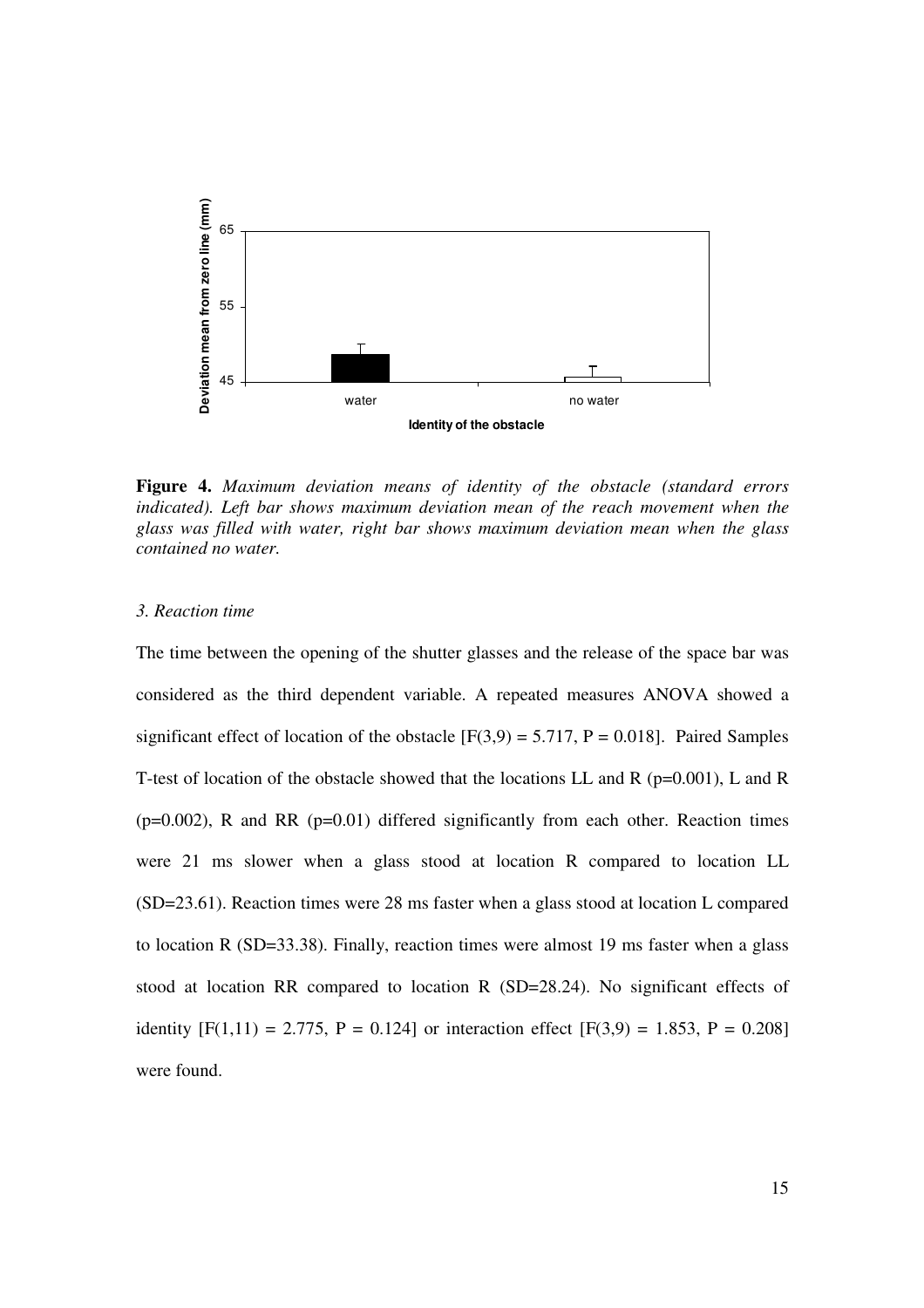

**Figure 4.** *Maximum deviation means of identity of the obstacle (standard errors*  indicated). Left bar shows maximum deviation mean of the reach movement when the *glass was filled with water, right bar shows maximum deviation mean when the glass contained no water.*

## *3. Reaction time*

The time between the opening of the shutter glasses and the release of the space bar was considered as the third dependent variable. A repeated measures ANOVA showed a significant effect of location of the obstacle  $[F(3,9) = 5.717, P = 0.018]$ . Paired Samples T-test of location of the obstacle showed that the locations LL and R ( $p=0.001$ ), L and R  $(p=0.002)$ , R and RR  $(p=0.01)$  differed significantly from each other. Reaction times were 21 ms slower when a glass stood at location R compared to location LL (SD=23.61). Reaction times were 28 ms faster when a glass stood at location L compared to location R (SD=33.38). Finally, reaction times were almost 19 ms faster when a glass stood at location RR compared to location R (SD=28.24). No significant effects of identity  $[F(1,11) = 2.775, P = 0.124]$  or interaction effect  $[F(3,9) = 1.853, P = 0.208]$ were found.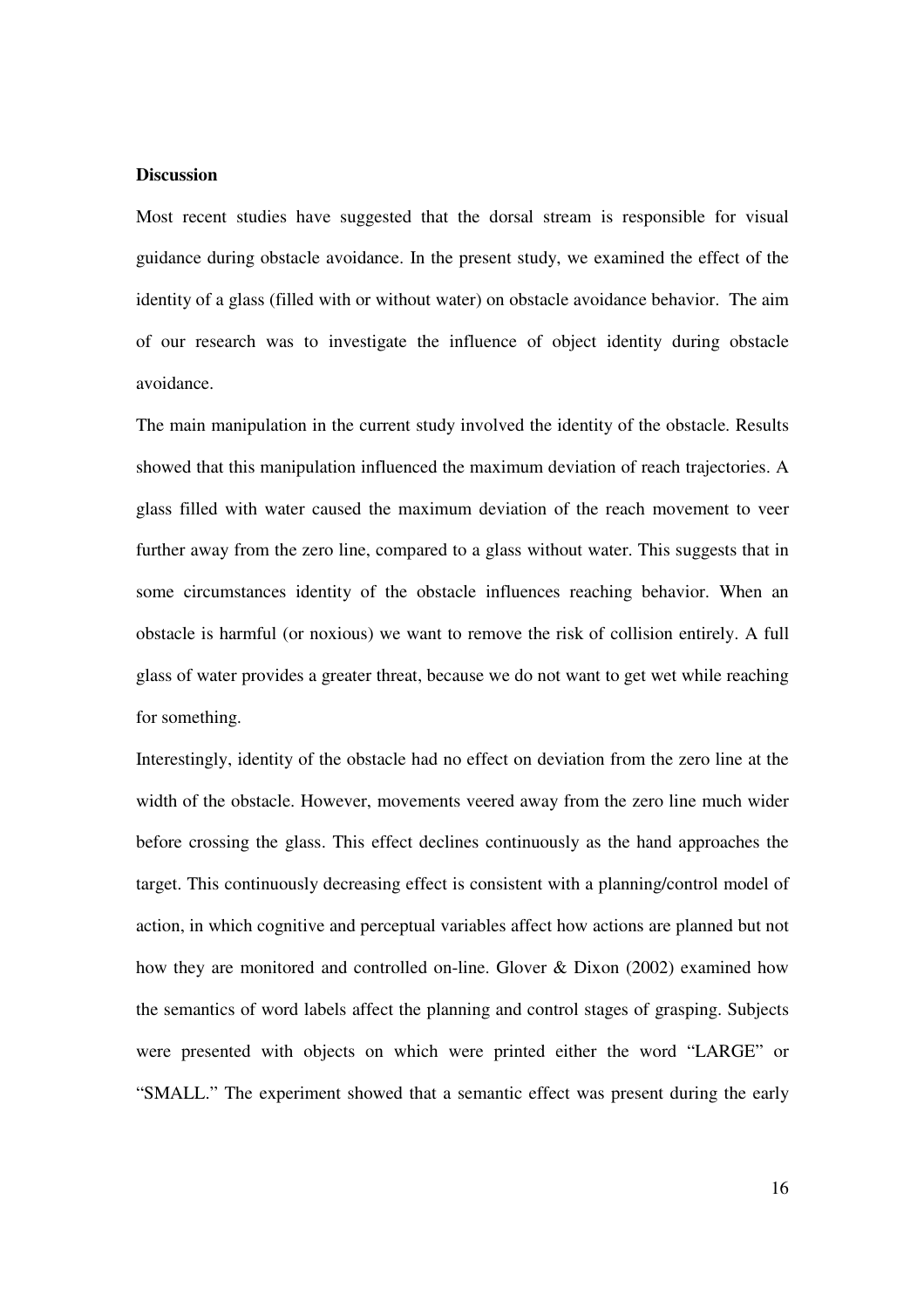## **Discussion**

Most recent studies have suggested that the dorsal stream is responsible for visual guidance during obstacle avoidance. In the present study, we examined the effect of the identity of a glass (filled with or without water) on obstacle avoidance behavior. The aim of our research was to investigate the influence of object identity during obstacle avoidance.

The main manipulation in the current study involved the identity of the obstacle. Results showed that this manipulation influenced the maximum deviation of reach trajectories. A glass filled with water caused the maximum deviation of the reach movement to veer further away from the zero line, compared to a glass without water. This suggests that in some circumstances identity of the obstacle influences reaching behavior. When an obstacle is harmful (or noxious) we want to remove the risk of collision entirely. A full glass of water provides a greater threat, because we do not want to get wet while reaching for something.

Interestingly, identity of the obstacle had no effect on deviation from the zero line at the width of the obstacle. However, movements veered away from the zero line much wider before crossing the glass. This effect declines continuously as the hand approaches the target. This continuously decreasing effect is consistent with a planning/control model of action, in which cognitive and perceptual variables affect how actions are planned but not how they are monitored and controlled on-line. Glover & Dixon (2002) examined how the semantics of word labels affect the planning and control stages of grasping. Subjects were presented with objects on which were printed either the word "LARGE" or "SMALL." The experiment showed that a semantic effect was present during the early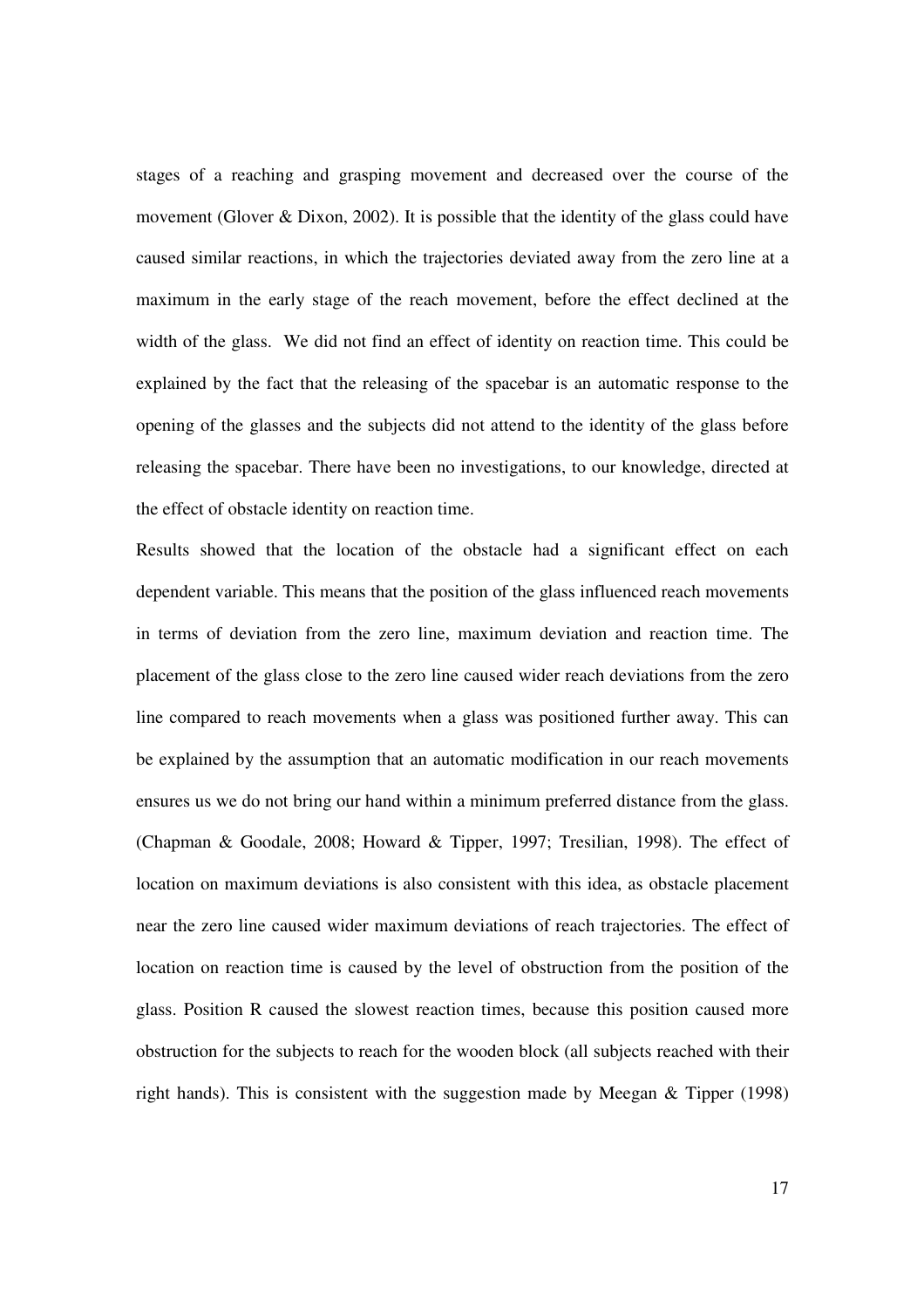stages of a reaching and grasping movement and decreased over the course of the movement (Glover & Dixon, 2002). It is possible that the identity of the glass could have caused similar reactions, in which the trajectories deviated away from the zero line at a maximum in the early stage of the reach movement, before the effect declined at the width of the glass. We did not find an effect of identity on reaction time. This could be explained by the fact that the releasing of the spacebar is an automatic response to the opening of the glasses and the subjects did not attend to the identity of the glass before releasing the spacebar. There have been no investigations, to our knowledge, directed at the effect of obstacle identity on reaction time.

Results showed that the location of the obstacle had a significant effect on each dependent variable. This means that the position of the glass influenced reach movements in terms of deviation from the zero line, maximum deviation and reaction time. The placement of the glass close to the zero line caused wider reach deviations from the zero line compared to reach movements when a glass was positioned further away. This can be explained by the assumption that an automatic modification in our reach movements ensures us we do not bring our hand within a minimum preferred distance from the glass. (Chapman & Goodale, 2008; Howard & Tipper, 1997; Tresilian, 1998). The effect of location on maximum deviations is also consistent with this idea, as obstacle placement near the zero line caused wider maximum deviations of reach trajectories. The effect of location on reaction time is caused by the level of obstruction from the position of the glass. Position R caused the slowest reaction times, because this position caused more obstruction for the subjects to reach for the wooden block (all subjects reached with their right hands). This is consistent with the suggestion made by Meegan & Tipper (1998)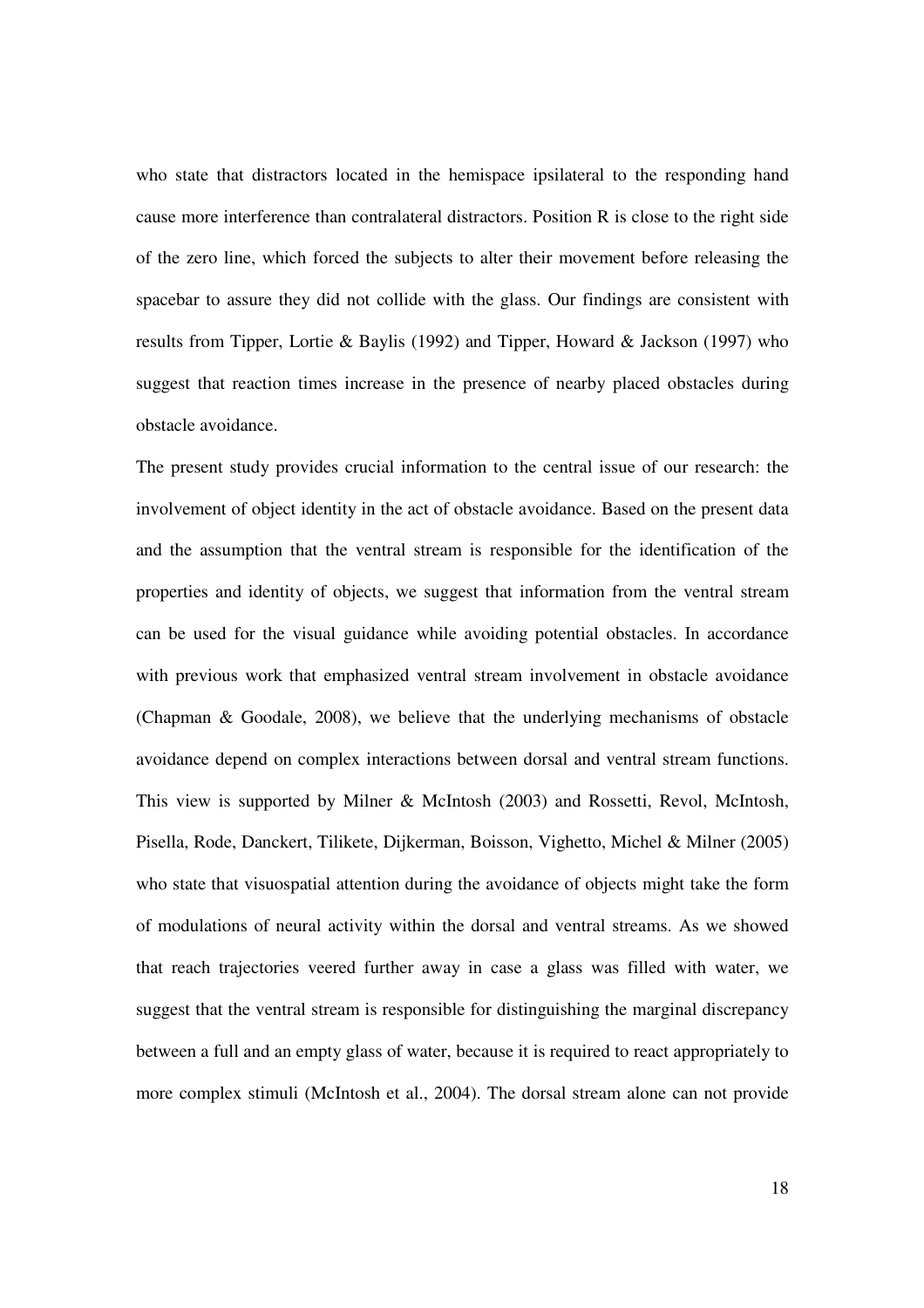who state that distractors located in the hemispace ipsilateral to the responding hand cause more interference than contralateral distractors. Position R is close to the right side of the zero line, which forced the subjects to alter their movement before releasing the spacebar to assure they did not collide with the glass. Our findings are consistent with results from Tipper, Lortie & Baylis (1992) and Tipper, Howard & Jackson (1997) who suggest that reaction times increase in the presence of nearby placed obstacles during obstacle avoidance.

The present study provides crucial information to the central issue of our research: the involvement of object identity in the act of obstacle avoidance. Based on the present data and the assumption that the ventral stream is responsible for the identification of the properties and identity of objects, we suggest that information from the ventral stream can be used for the visual guidance while avoiding potential obstacles. In accordance with previous work that emphasized ventral stream involvement in obstacle avoidance (Chapman & Goodale, 2008), we believe that the underlying mechanisms of obstacle avoidance depend on complex interactions between dorsal and ventral stream functions. This view is supported by Milner & McIntosh (2003) and Rossetti, Revol, McIntosh, Pisella, Rode, Danckert, Tilikete, Dijkerman, Boisson, Vighetto, Michel & Milner (2005) who state that visuospatial attention during the avoidance of objects might take the form of modulations of neural activity within the dorsal and ventral streams. As we showed that reach trajectories veered further away in case a glass was filled with water, we suggest that the ventral stream is responsible for distinguishing the marginal discrepancy between a full and an empty glass of water, because it is required to react appropriately to more complex stimuli (McIntosh et al., 2004). The dorsal stream alone can not provide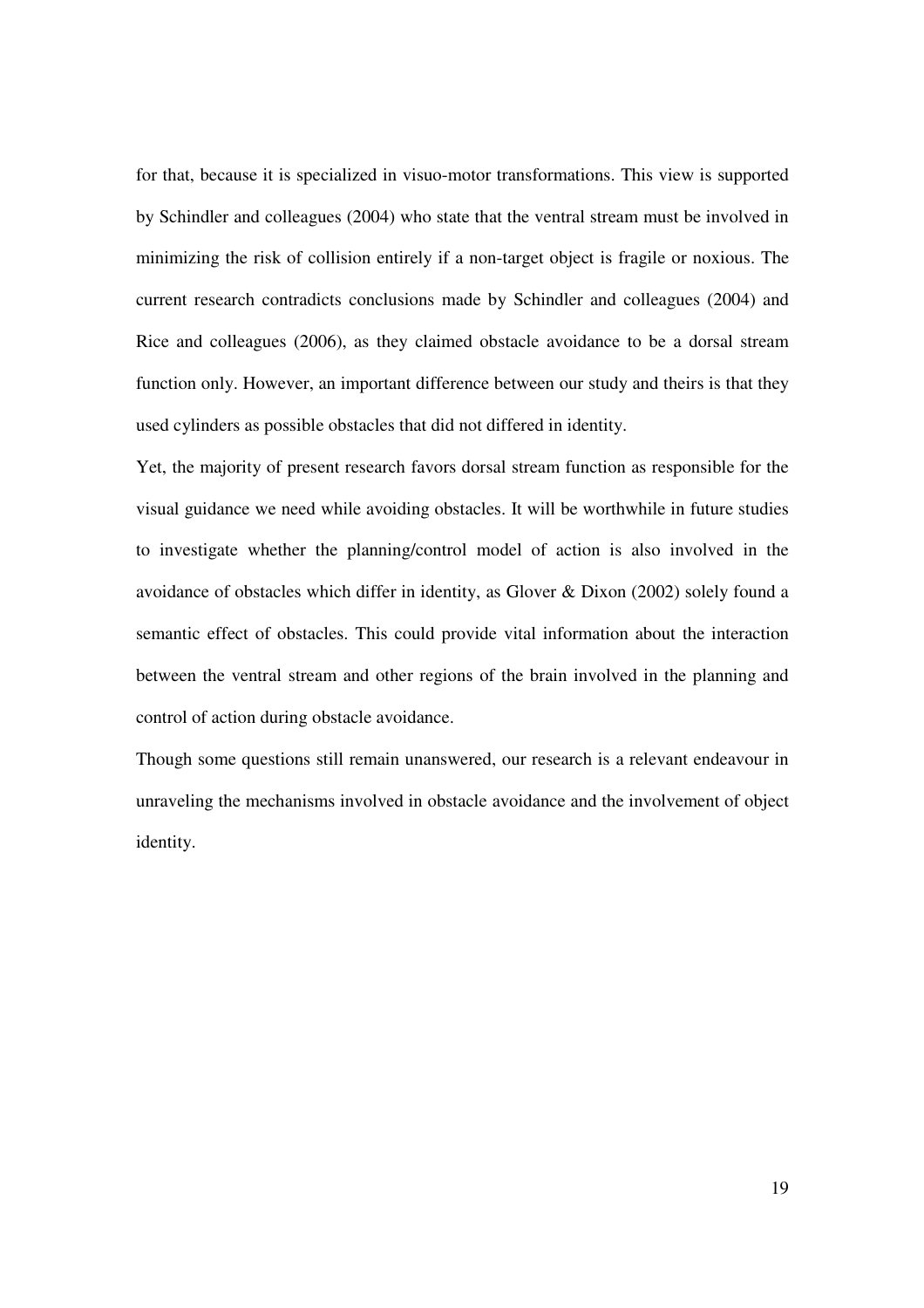for that, because it is specialized in visuo-motor transformations. This view is supported by Schindler and colleagues (2004) who state that the ventral stream must be involved in minimizing the risk of collision entirely if a non-target object is fragile or noxious. The current research contradicts conclusions made by Schindler and colleagues (2004) and Rice and colleagues (2006), as they claimed obstacle avoidance to be a dorsal stream function only. However, an important difference between our study and theirs is that they used cylinders as possible obstacles that did not differed in identity.

Yet, the majority of present research favors dorsal stream function as responsible for the visual guidance we need while avoiding obstacles. It will be worthwhile in future studies to investigate whether the planning/control model of action is also involved in the avoidance of obstacles which differ in identity, as Glover & Dixon (2002) solely found a semantic effect of obstacles. This could provide vital information about the interaction between the ventral stream and other regions of the brain involved in the planning and control of action during obstacle avoidance.

Though some questions still remain unanswered, our research is a relevant endeavour in unraveling the mechanisms involved in obstacle avoidance and the involvement of object identity.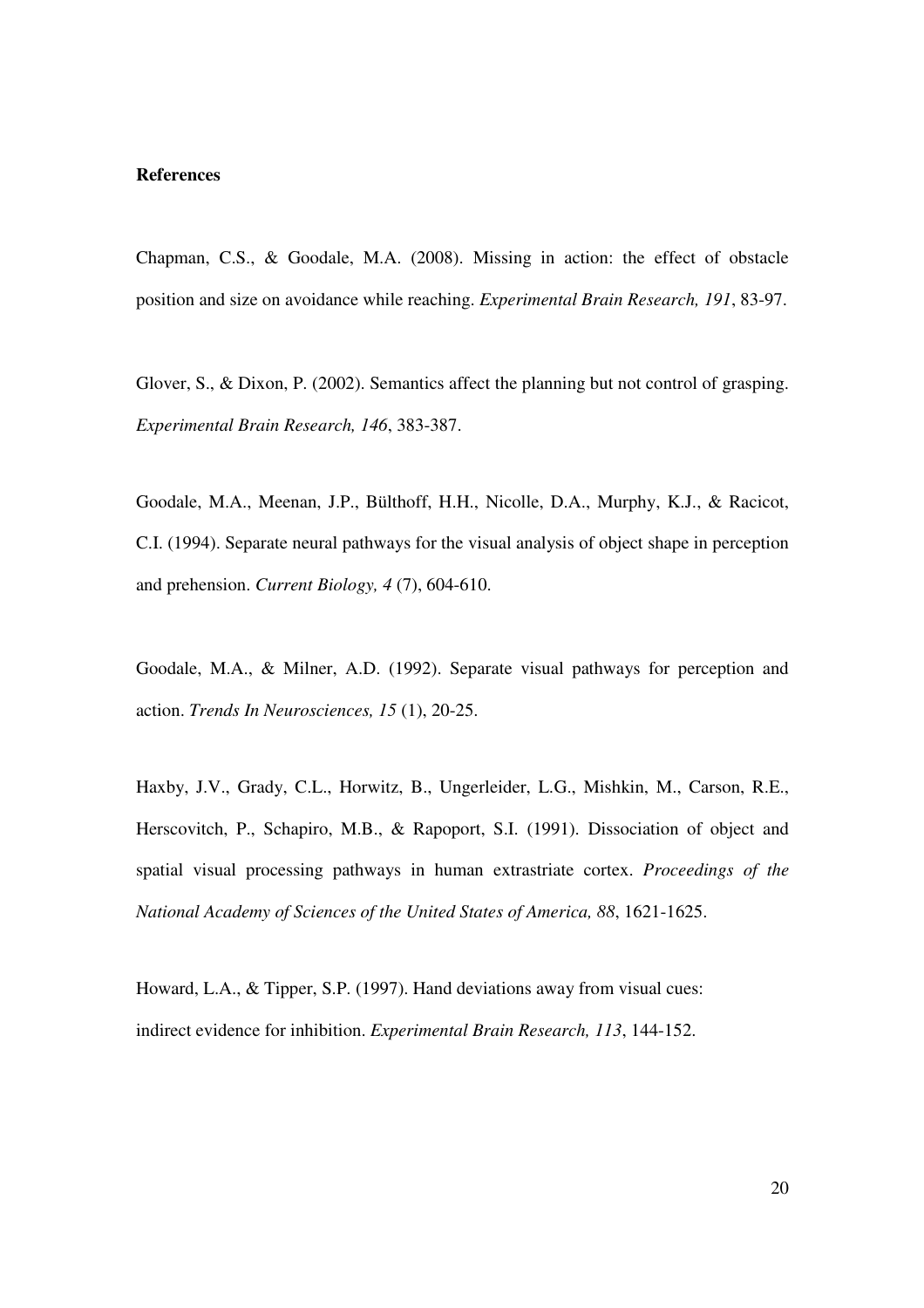## **References**

Chapman, C.S., & Goodale, M.A. (2008). Missing in action: the effect of obstacle position and size on avoidance while reaching. *Experimental Brain Research, 191*, 83-97.

Glover, S., & Dixon, P. (2002). Semantics affect the planning but not control of grasping. *Experimental Brain Research, 146*, 383-387.

Goodale, M.A., Meenan, J.P., Bülthoff, H.H., Nicolle, D.A., Murphy, K.J., & Racicot, C.I. (1994). Separate neural pathways for the visual analysis of object shape in perception and prehension. *Current Biology, 4* (7), 604-610.

Goodale, M.A., & Milner, A.D. (1992). Separate visual pathways for perception and action. *Trends In Neurosciences, 15* (1), 20-25.

Haxby, J.V., Grady, C.L., Horwitz, B., Ungerleider, L.G., Mishkin, M., Carson, R.E., Herscovitch, P., Schapiro, M.B., & Rapoport, S.I. (1991). Dissociation of object and spatial visual processing pathways in human extrastriate cortex. *Proceedings of the National Academy of Sciences of the United States of America, 88*, 1621-1625.

Howard, L.A., & Tipper, S.P. (1997). Hand deviations away from visual cues: indirect evidence for inhibition. *Experimental Brain Research, 113*, 144-152.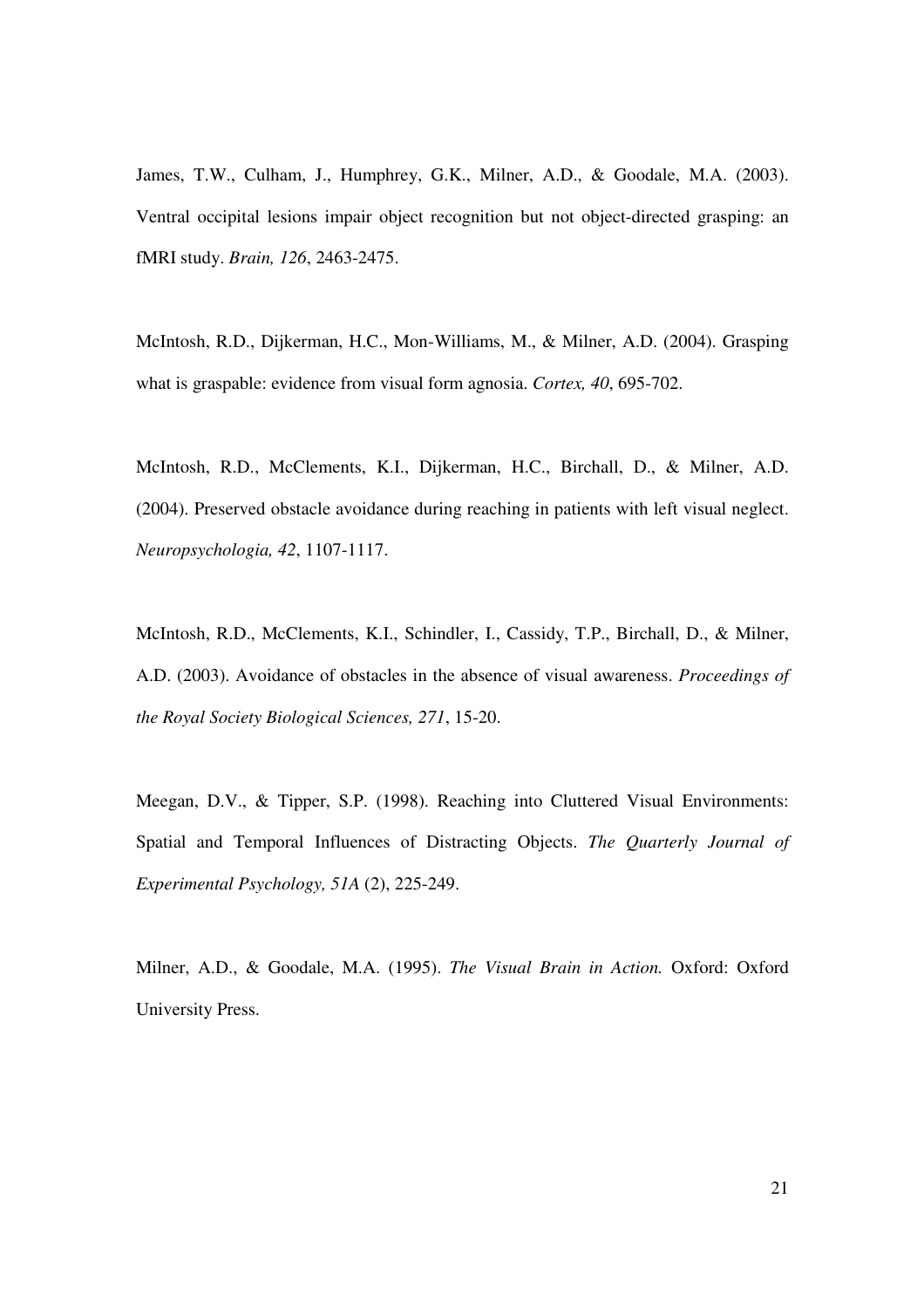James, T.W., Culham, J., Humphrey, G.K., Milner, A.D., & Goodale, M.A. (2003). Ventral occipital lesions impair object recognition but not object-directed grasping: an fMRI study. *Brain, 126*, 2463-2475.

McIntosh, R.D., Dijkerman, H.C., Mon-Williams, M., & Milner, A.D. (2004). Grasping what is graspable: evidence from visual form agnosia. *Cortex, 40*, 695-702.

McIntosh, R.D., McClements, K.I., Dijkerman, H.C., Birchall, D., & Milner, A.D. (2004). Preserved obstacle avoidance during reaching in patients with left visual neglect. *Neuropsychologia, 42*, 1107-1117.

McIntosh, R.D., McClements, K.I., Schindler, I., Cassidy, T.P., Birchall, D., & Milner, A.D. (2003). Avoidance of obstacles in the absence of visual awareness. *Proceedings of the Royal Society Biological Sciences, 271*, 15-20.

Meegan, D.V., & Tipper, S.P. (1998). Reaching into Cluttered Visual Environments: Spatial and Temporal Influences of Distracting Objects. *The Quarterly Journal of Experimental Psychology, 51A* (2), 225-249.

Milner, A.D., & Goodale, M.A. (1995). *The Visual Brain in Action.* Oxford: Oxford University Press.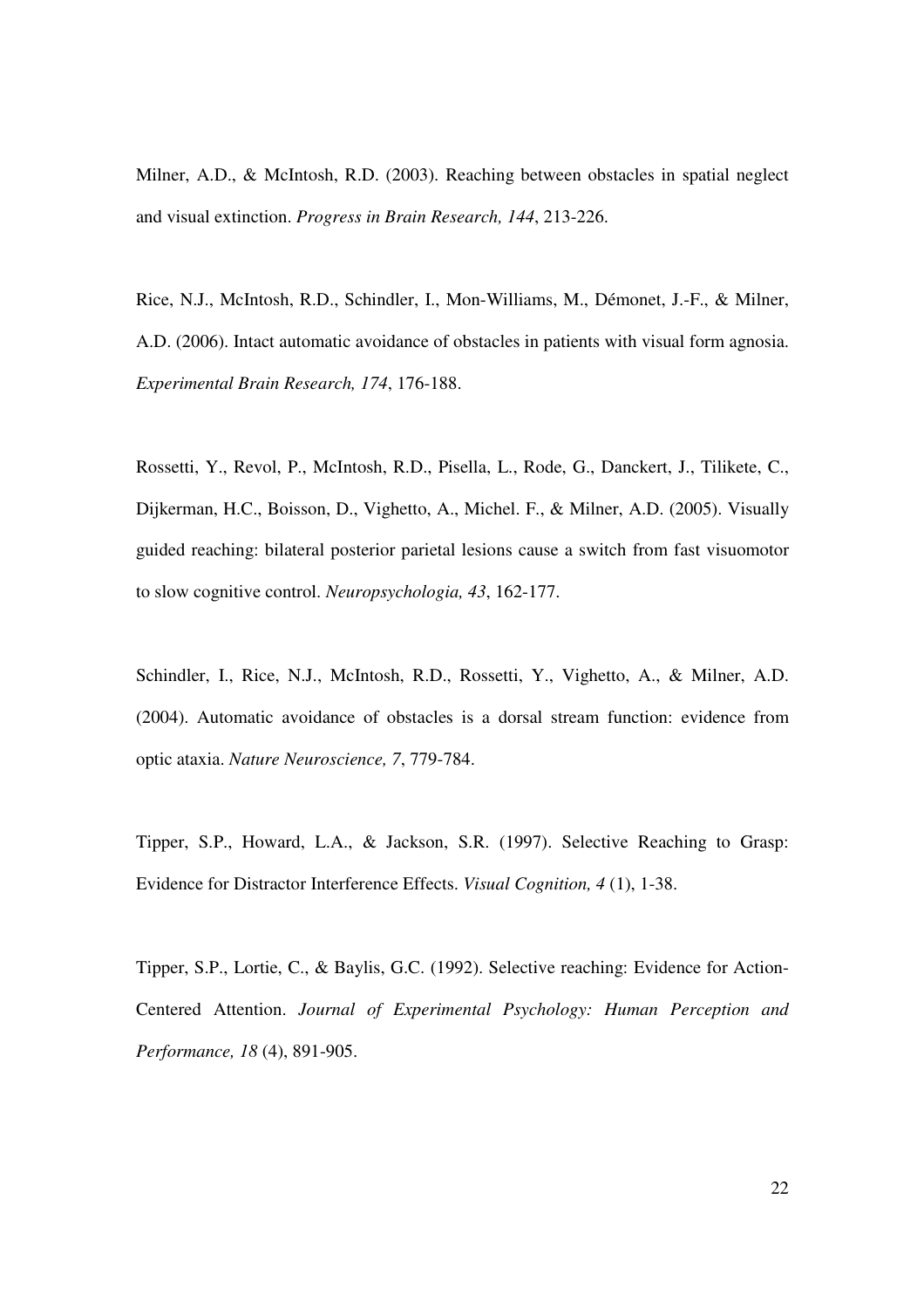Milner, A.D., & McIntosh, R.D. (2003). Reaching between obstacles in spatial neglect and visual extinction. *Progress in Brain Research, 144*, 213-226.

Rice, N.J., McIntosh, R.D., Schindler, I., Mon-Williams, M., Démonet, J.-F., & Milner, A.D. (2006). Intact automatic avoidance of obstacles in patients with visual form agnosia. *Experimental Brain Research, 174*, 176-188.

Rossetti, Y., Revol, P., McIntosh, R.D., Pisella, L., Rode, G., Danckert, J., Tilikete, C., Dijkerman, H.C., Boisson, D., Vighetto, A., Michel. F., & Milner, A.D. (2005). Visually guided reaching: bilateral posterior parietal lesions cause a switch from fast visuomotor to slow cognitive control. *Neuropsychologia, 43*, 162-177.

Schindler, I., Rice, N.J., McIntosh, R.D., Rossetti, Y., Vighetto, A., & Milner, A.D. (2004). Automatic avoidance of obstacles is a dorsal stream function: evidence from optic ataxia. *Nature Neuroscience, 7*, 779-784.

Tipper, S.P., Howard, L.A., & Jackson, S.R. (1997). Selective Reaching to Grasp: Evidence for Distractor Interference Effects. *Visual Cognition, 4* (1), 1-38.

Tipper, S.P., Lortie, C., & Baylis, G.C. (1992). Selective reaching: Evidence for Action-Centered Attention. *Journal of Experimental Psychology: Human Perception and Performance, 18* (4), 891-905.